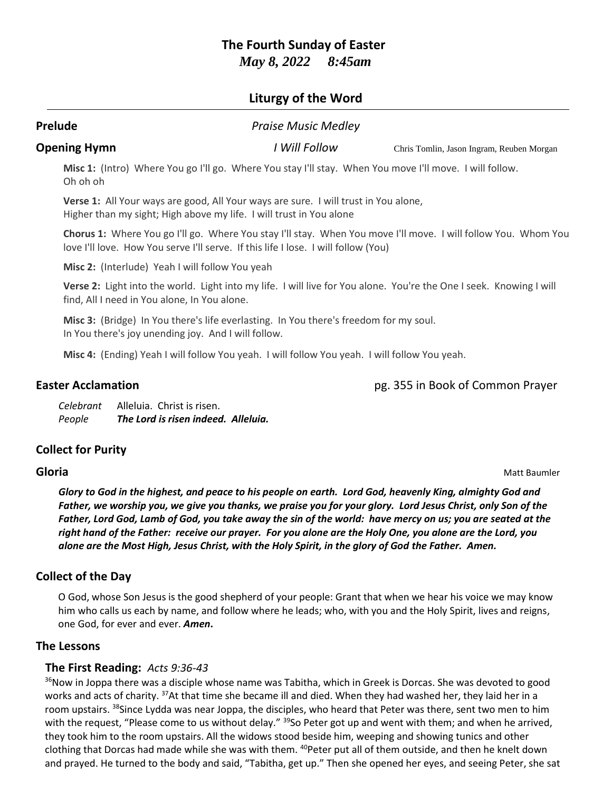# **The Fourth Sunday of Easter**

*May 8, 2022 8:45am*

## **Liturgy of the Word**

# **Prelude** *Praise Music Medley* **Opening Hymn** *I Will Follow* Chris Tomlin, Jason Ingram, Reuben Morgan **Misc 1:** (Intro) Where You go I'll go. Where You stay I'll stay. When You move I'll move. I will follow. Oh oh oh **Verse 1:** All Your ways are good, All Your ways are sure. I will trust in You alone, Higher than my sight; High above my life. I will trust in You alone **Chorus 1:** Where You go I'll go. Where You stay I'll stay. When You move I'll move. I will follow You. Whom You love I'll love. How You serve I'll serve. If this life I lose. I will follow (You) **Misc 2:** (Interlude) Yeah I will follow You yeah **Verse 2:** Light into the world. Light into my life. I will live for You alone. You're the One I seek. Knowing I will find, All I need in You alone, In You alone. **Misc 3:** (Bridge) In You there's life everlasting. In You there's freedom for my soul. In You there's joy unending joy. And I will follow. **Misc 4:** (Ending) Yeah I will follow You yeah. I will follow You yeah. I will follow You yeah.

**Easter Acclamation Easter Acclamation pg. 355 in Book of Common Prayer** 

*Celebrant* Alleluia. Christ is risen. *People The Lord is risen indeed. Alleluia.*

## **Collect for Purity**

**Gloria** Matt Baumler

*Glory to God in the highest, and peace to his people on earth. Lord God, heavenly King, almighty God and Father, we worship you, we give you thanks, we praise you for your glory. Lord Jesus Christ, only Son of the Father, Lord God, Lamb of God, you take away the sin of the world: have mercy on us; you are seated at the right hand of the Father: receive our prayer. For you alone are the Holy One, you alone are the Lord, you alone are the Most High, Jesus Christ, with the Holy Spirit, in the glory of God the Father. Amen.*

## **Collect of the Day**

O God, whose Son Jesus is the good shepherd of your people: Grant that when we hear his voice we may know him who calls us each by name, and follow where he leads; who, with you and the Holy Spirit, lives and reigns, one God, for ever and ever. *Amen***.**

## **The Lessons**

## **The First Reading:** *Acts 9:36-43*

<sup>36</sup>Now in Joppa there was a disciple whose name was Tabitha, which in Greek is Dorcas. She was devoted to good works and acts of charity. <sup>37</sup>At that time she became ill and died. When they had washed her, they laid her in a room upstairs. <sup>38</sup>Since Lydda was near Joppa, the disciples, who heard that Peter was there, sent two men to him with the request, "Please come to us without delay." <sup>39</sup>So Peter got up and went with them; and when he arrived, they took him to the room upstairs. All the widows stood beside him, weeping and showing tunics and other clothing that Dorcas had made while she was with them. <sup>40</sup>Peter put all of them outside, and then he knelt down and prayed. He turned to the body and said, "Tabitha, get up." Then she opened her eyes, and seeing Peter, she sat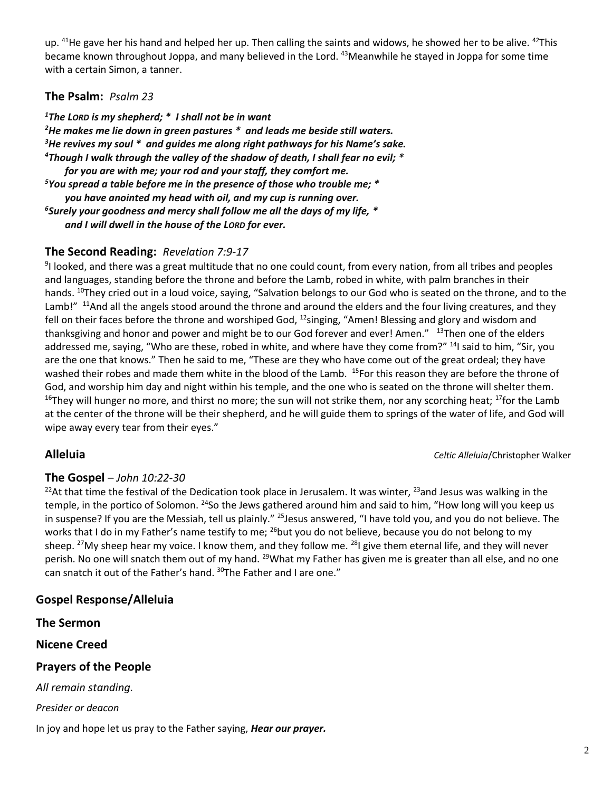up. <sup>41</sup>He gave her his hand and helped her up. Then calling the saints and widows, he showed her to be alive. <sup>42</sup>This became known throughout Joppa, and many believed in the Lord. <sup>43</sup>Meanwhile he stayed in Joppa for some time with a certain Simon, a tanner.

## **The Psalm:** *Psalm 23*

*The LORD is my shepherd; \* I shall not be in want He makes me lie down in green pastures \* and leads me beside still waters. He revives my soul \* and guides me along right pathways for his Name's sake. Though I walk through the valley of the shadow of death, I shall fear no evil; \* for you are with me; your rod and your staff, they comfort me. You spread a table before me in the presence of those who trouble me; \* you have anointed my head with oil, and my cup is running over. Surely your goodness and mercy shall follow me all the days of my life, \* and I will dwell in the house of the LORD for ever.*

## **The Second Reading:** *Revelation 7:9-17*

9 I looked, and there was a great multitude that no one could count, from every nation, from all tribes and peoples and languages, standing before the throne and before the Lamb, robed in white, with palm branches in their hands. <sup>10</sup>They cried out in a loud voice, saying, "Salvation belongs to our God who is seated on the throne, and to the Lamb!" <sup>11</sup>And all the angels stood around the throne and around the elders and the four living creatures, and they fell on their faces before the throne and worshiped God,  $^{12}$ singing, "Amen! Blessing and glory and wisdom and thanksgiving and honor and power and might be to our God forever and ever! Amen." <sup>13</sup>Then one of the elders addressed me, saying, "Who are these, robed in white, and where have they come from?" <sup>14</sup>I said to him, "Sir, you are the one that knows." Then he said to me, "These are they who have come out of the great ordeal; they have washed their robes and made them white in the blood of the Lamb. <sup>15</sup>For this reason they are before the throne of God, and worship him day and night within his temple, and the one who is seated on the throne will shelter them. <sup>16</sup>They will hunger no more, and thirst no more; the sun will not strike them, nor any scorching heat; <sup>17</sup>for the Lamb at the center of the throne will be their shepherd, and he will guide them to springs of the water of life, and God will wipe away every tear from their eyes."

**Alleluia** *Celtic Alleluia*/Christopher Walker

## **The Gospel** – *John 10:22-30*

<sup>22</sup>At that time the festival of the Dedication took place in Jerusalem. It was winter, <sup>23</sup>and Jesus was walking in the temple, in the portico of Solomon. <sup>24</sup>So the Jews gathered around him and said to him, "How long will you keep us in suspense? If you are the Messiah, tell us plainly." <sup>25</sup>Jesus answered, "I have told you, and you do not believe. The works that I do in my Father's name testify to me; <sup>26</sup>but you do not believe, because you do not belong to my sheep. <sup>27</sup>My sheep hear my voice. I know them, and they follow me.  $^{28}$  give them eternal life, and they will never perish. No one will snatch them out of my hand. <sup>29</sup>What my Father has given me is greater than all else, and no one can snatch it out of the Father's hand. <sup>30</sup>The Father and I are one."

## **Gospel Response/Alleluia**

**The Sermon**

**Nicene Creed**

## **Prayers of the People**

*All remain standing.*

*Presider or deacon*

In joy and hope let us pray to the Father saying, *Hear our prayer.*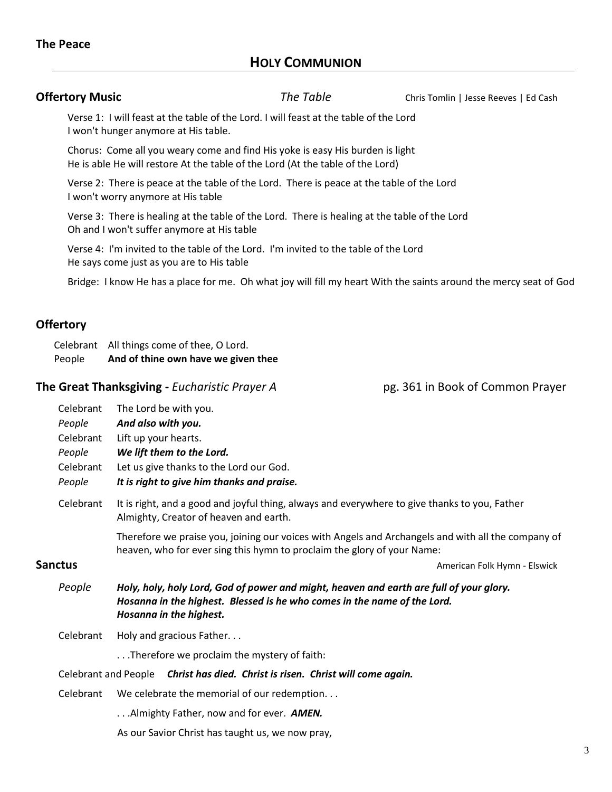## **The Peace**

## **HOLY COMMUNION**

**Offertory Music Chris The Table Chris Tomlin | Jesse Reeves | Ed Cash** 

Verse 1: I will feast at the table of the Lord. I will feast at the table of the Lord I won't hunger anymore at His table.

Chorus: Come all you weary come and find His yoke is easy His burden is light He is able He will restore At the table of the Lord (At the table of the Lord)

Verse 2: There is peace at the table of the Lord. There is peace at the table of the Lord I won't worry anymore at His table

Verse 3: There is healing at the table of the Lord. There is healing at the table of the Lord Oh and I won't suffer anymore at His table

Verse 4: I'm invited to the table of the Lord. I'm invited to the table of the Lord He says come just as you are to His table

Bridge: I know He has a place for me. Oh what joy will fill my heart With the saints around the mercy seat of God

## **Offertory**

Celebrant All things come of thee, O Lord. People **And of thine own have we given thee**

## **The Great Thanksgiving -** *Eucharistic Prayer A* pg. 361 in Book of Common Prayer

|         | Celebrant                   | The Lord be with you.                                                                                                                                                                          |
|---------|-----------------------------|------------------------------------------------------------------------------------------------------------------------------------------------------------------------------------------------|
|         | People                      | And also with you.                                                                                                                                                                             |
|         | Celebrant                   | Lift up your hearts.                                                                                                                                                                           |
|         | People                      | We lift them to the Lord.                                                                                                                                                                      |
|         | Celebrant                   | Let us give thanks to the Lord our God.                                                                                                                                                        |
|         | People                      | It is right to give him thanks and praise.                                                                                                                                                     |
|         | Celebrant                   | It is right, and a good and joyful thing, always and everywhere to give thanks to you, Father<br>Almighty, Creator of heaven and earth.                                                        |
|         |                             | Therefore we praise you, joining our voices with Angels and Archangels and with all the company of<br>heaven, who for ever sing this hymn to proclaim the glory of your Name:                  |
| Sanctus |                             | American Folk Hymn - Elswick                                                                                                                                                                   |
|         |                             |                                                                                                                                                                                                |
|         | People                      | Holy, holy, holy Lord, God of power and might, heaven and earth are full of your glory.<br>Hosanna in the highest. Blessed is he who comes in the name of the Lord.<br>Hosanna in the highest. |
|         | Celebrant                   | Holy and gracious Father                                                                                                                                                                       |
|         |                             | Therefore we proclaim the mystery of faith:                                                                                                                                                    |
|         | <b>Celebrant and People</b> | Christ has died. Christ is risen. Christ will come again.                                                                                                                                      |
|         | Celebrant                   | We celebrate the memorial of our redemption                                                                                                                                                    |
|         |                             | Almighty Father, now and for ever. AMEN.                                                                                                                                                       |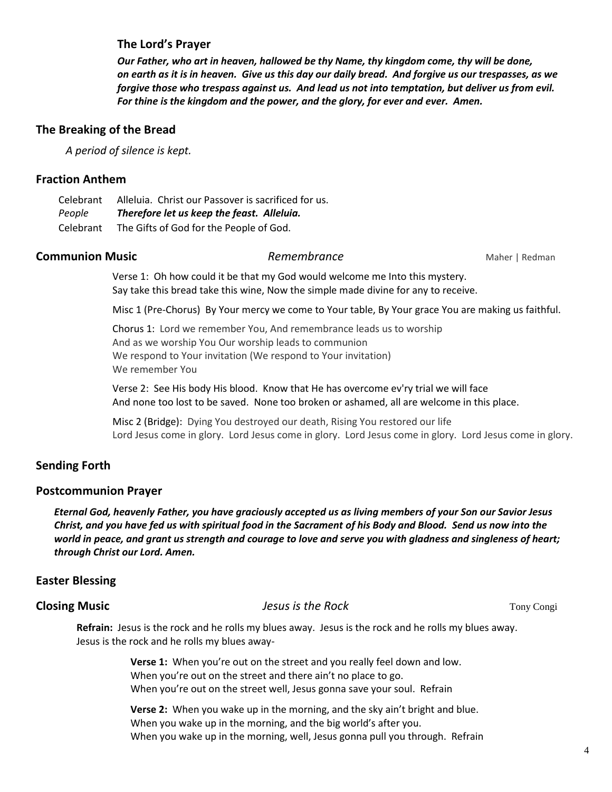## **The Lord's Prayer**

*Our Father, who art in heaven, hallowed be thy Name, thy kingdom come, thy will be done, on earth as it is in heaven. Give us this day our daily bread. And forgive us our trespasses, as we forgive those who trespass against us. And lead us not into temptation, but deliver us from evil. For thine is the kingdom and the power, and the glory, for ever and ever. Amen.*

### **The Breaking of the Bread**

*A period of silence is kept.*

## **Fraction Anthem**

Celebrant Alleluia. Christ our Passover is sacrificed for us. *People Therefore let us keep the feast. Alleluia.* Celebrant The Gifts of God for the People of God.

### **Communion Music Communion Music** *Remembrance* Maher | Redman

Verse 1: Oh how could it be that my God would welcome me Into this mystery. Say take this bread take this wine, Now the simple made divine for any to receive.

Misc 1 (Pre-Chorus)By Your mercy we come to Your table, By Your grace You are making us faithful.

Chorus 1:Lord we remember You, And remembrance leads us to worship And as we worship You Our worship leads to communion We respond to Your invitation (We respond to Your invitation) We remember You

Verse 2:See His body His blood. Know that He has overcome ev'ry trial we will face And none too lost to be saved. None too broken or ashamed, all are welcome in this place.

Misc 2 (Bridge): Dying You destroyed our death, Rising You restored our life Lord Jesus come in glory. Lord Jesus come in glory. Lord Jesus come in glory. Lord Jesus come in glory.

## **Sending Forth**

### **Postcommunion Prayer**

*Eternal God, heavenly Father, you have graciously accepted us as living members of your Son our Savior Jesus Christ, and you have fed us with spiritual food in the Sacrament of his Body and Blood. Send us now into the world in peace, and grant us strength and courage to love and serve you with gladness and singleness of heart; through Christ our Lord. Amen.*

## **Easter Blessing**

### **Closing Music** Tony Congi *Jesus is the Rock* **Tony Congi** *Jesus is the Rock* **Tony Congi** *Tony Congi*

**Refrain:** Jesus is the rock and he rolls my blues away. Jesus is the rock and he rolls my blues away. Jesus is the rock and he rolls my blues away-

> **Verse 1:** When you're out on the street and you really feel down and low. When you're out on the street and there ain't no place to go. When you're out on the street well, Jesus gonna save your soul. Refrain

**Verse 2:** When you wake up in the morning, and the sky ain't bright and blue. When you wake up in the morning, and the big world's after you. When you wake up in the morning, well, Jesus gonna pull you through. Refrain